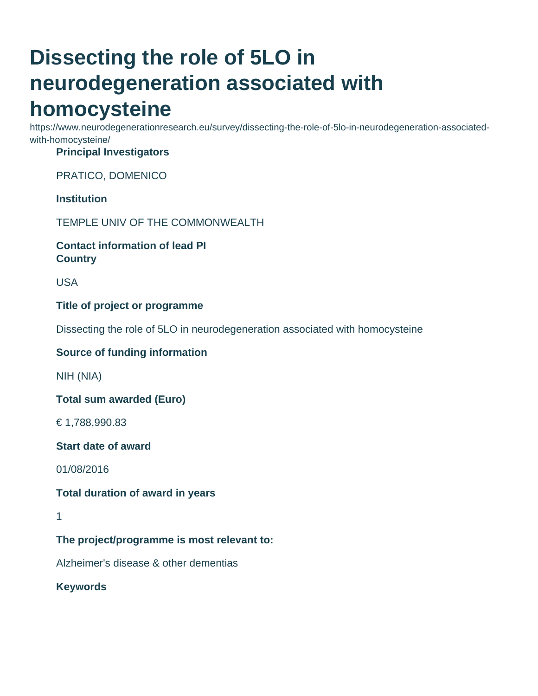# **Dissecting the role of 5LO in neurodegeneration associated with homocysteine**

https://www.neurodegenerationresearch.eu/survey/dissecting-the-role-of-5lo-in-neurodegeneration-associatedwith-homocysteine/

#### **Principal Investigators**

PRATICO, DOMENICO

## **Institution**

TEMPLE UNIV OF THE COMMONWEALTH

#### **Contact information of lead PI Country**

USA

#### **Title of project or programme**

Dissecting the role of 5LO in neurodegeneration associated with homocysteine

#### **Source of funding information**

NIH (NIA)

**Total sum awarded (Euro)**

€ 1,788,990.83

#### **Start date of award**

01/08/2016

#### **Total duration of award in years**

1

# **The project/programme is most relevant to:**

Alzheimer's disease & other dementias

# **Keywords**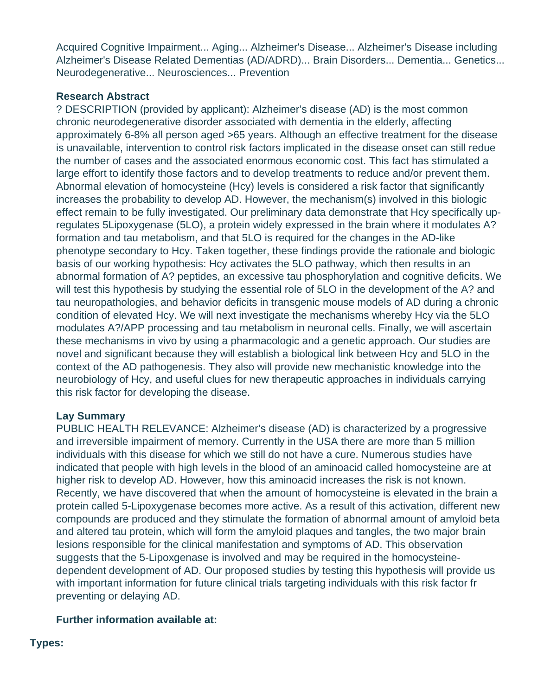Acquired Cognitive Impairment... Aging... Alzheimer's Disease... Alzheimer's Disease including Alzheimer's Disease Related Dementias (AD/ADRD)... Brain Disorders... Dementia... Genetics... Neurodegenerative... Neurosciences... Prevention

#### **Research Abstract**

? DESCRIPTION (provided by applicant): Alzheimer's disease (AD) is the most common chronic neurodegenerative disorder associated with dementia in the elderly, affecting approximately 6-8% all person aged >65 years. Although an effective treatment for the disease is unavailable, intervention to control risk factors implicated in the disease onset can still redue the number of cases and the associated enormous economic cost. This fact has stimulated a large effort to identify those factors and to develop treatments to reduce and/or prevent them. Abnormal elevation of homocysteine (Hcy) levels is considered a risk factor that significantly increases the probability to develop AD. However, the mechanism(s) involved in this biologic effect remain to be fully investigated. Our preliminary data demonstrate that Hcy specifically upregulates 5Lipoxygenase (5LO), a protein widely expressed in the brain where it modulates A? formation and tau metabolism, and that 5LO is required for the changes in the AD-like phenotype secondary to Hcy. Taken together, these findings provide the rationale and biologic basis of our working hypothesis: Hcy activates the 5LO pathway, which then results in an abnormal formation of A? peptides, an excessive tau phosphorylation and cognitive deficits. We will test this hypothesis by studying the essential role of 5LO in the development of the A? and tau neuropathologies, and behavior deficits in transgenic mouse models of AD during a chronic condition of elevated Hcy. We will next investigate the mechanisms whereby Hcy via the 5LO modulates A?/APP processing and tau metabolism in neuronal cells. Finally, we will ascertain these mechanisms in vivo by using a pharmacologic and a genetic approach. Our studies are novel and significant because they will establish a biological link between Hcy and 5LO in the context of the AD pathogenesis. They also will provide new mechanistic knowledge into the neurobiology of Hcy, and useful clues for new therapeutic approaches in individuals carrying this risk factor for developing the disease.

## **Lay Summary**

PUBLIC HEALTH RELEVANCE: Alzheimer's disease (AD) is characterized by a progressive and irreversible impairment of memory. Currently in the USA there are more than 5 million individuals with this disease for which we still do not have a cure. Numerous studies have indicated that people with high levels in the blood of an aminoacid called homocysteine are at higher risk to develop AD. However, how this aminoacid increases the risk is not known. Recently, we have discovered that when the amount of homocysteine is elevated in the brain a protein called 5-Lipoxygenase becomes more active. As a result of this activation, different new compounds are produced and they stimulate the formation of abnormal amount of amyloid beta and altered tau protein, which will form the amyloid plaques and tangles, the two major brain lesions responsible for the clinical manifestation and symptoms of AD. This observation suggests that the 5-Lipoxgenase is involved and may be required in the homocysteinedependent development of AD. Our proposed studies by testing this hypothesis will provide us with important information for future clinical trials targeting individuals with this risk factor fr preventing or delaying AD.

## **Further information available at:**

#### **Types:**